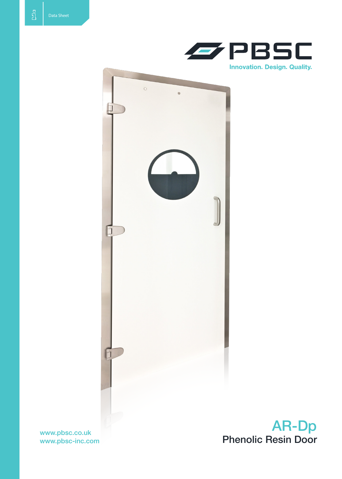



www.pbsc-inc.com

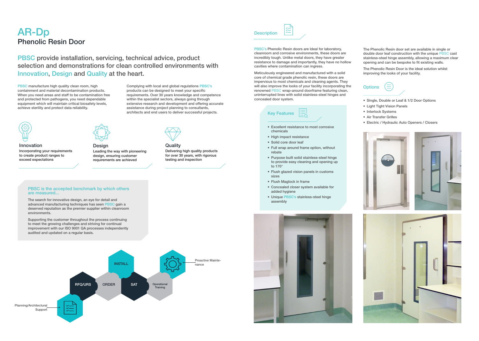## AR-Dp Phenolic Resin Door

PBSC's Phenolic Resin doors are Ideal for laboratory, cleanroom and corrosive environments, these doors are incredibly tough. Unlike metal doors, they have greater resistance to damage and importantly, they have no hollow cavities where contamination can ingress.

Meticulously engineered and manufactured with a solid core of chemical grade phenolic resin, these doors are impervious to most chemicals and cleaning agents. They will also improve the looks of your facility incorporating the renowned PBSC wrap-around doorframe featuring clean, uninterrupted lines with solid stainless-steel hinges and concealed door system.

The Phenolic Resin door set are available in single or double door leaf construction with the unique PBSC cast stainless-steel hinge assembly, allowing a maximum clear opening and can be bespoke to fit existing walls.

- Single, Double or Leaf & 1/2 Door Options
- • Light Tight Vision Panels
- Interlock Systems
- • Air Transfer Grilles
- • Electric / Hydraulic Auto Openers / Closers







The Phenolic Resin Door is the ideal solution whilst improving the looks of your facility.

## **Options**





PBSC manufacture high quality clean room, high containment and material decontamination products. When you need areas and staff to be contamination free and protected from pathogens, you need dependable equipment which will maintain critical biosafety levels, achieve sterility and protect data reliability.

- • Excellent resistance to most corrosive chemicals
- High impact resistance
- Solid core door leaf
- Full wrap around frame option, without rebate
- Purpose built solid stainless-steel hinge to provide easy cleaning and opening up to 170°
- • Flush glazed vision panels in customs sizes
- Flush Maglock in frame
- • Concealed closer system available for added hygiene
- • Unique PBSC's stainless-steel hinge assembly



PBSC provide installation, servicing, technical advice, product selection and demonstrations for clean controlled environments with Innovation, Design and Quality at the heart.

> Complying with local and global regulations PBSC's products can be designed to meet your specific requirements. Over 30 years knowledge and competence within the specialist sectors, always going through extensive research and development and offering accurate assistance during project planning to consultants, architects and end users to deliver successful projects.

> > **Quality**

Innovation Incorporating your requirements to create product ranges to exceed expectations



Delivering high quality products for over 30 years, with rigorous

testing and inspection



Design Leading the way with pioneering design, ensuring customer requirements are achieved

## PBSC is the accepted benchmark by which others are measured...

The search for innovative design, an eye for detail and advanced manufacturing techniques has seen PBSC gain a deserved reputation as the premier supplier within cleanroom environments.

Supporting the customer throughout the process continuing to meet the growing challenges and striving for continual improvement with our ISO 9001 QA processes independently audited and updated on a regular basis.



**Description**